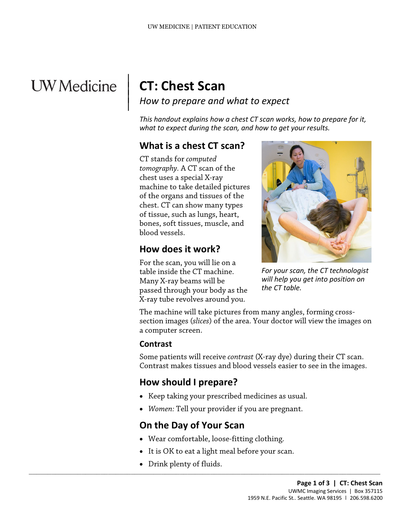# **UW** Medicine

## **CT: Chest Scan**

 $\parallel$  $\vert$  $\vert$ 

*How to prepare and what to expect*

*This handout explains how a chest CT scan works, how to prepare for it, what to expect during the scan, and how to get your results.*

#### **What is a chest CT scan?**

CT stands for *computed tomography.* A CT scan of the chest uses a special X-ray machine to take detailed pictures of the organs and tissues of the chest. CT can show many types of tissue, such as lungs, heart, bones, soft tissues, muscle, and blood vessels.

#### **How does it work?**

For the scan, you will lie on a table inside the CT machine. Many X-ray beams will be passed through your body as the X-ray tube revolves around you.



*For your scan, the CT technologist will help you get into position on the CT table.*

The machine will take pictures from many angles, forming crosssection images (*slices*) of the area. Your doctor will view the images on a computer screen.

#### **Contrast**

Some patients will receive *contrast* (X-ray dye) during their CT scan. Contrast makes tissues and blood vessels easier to see in the images.

## **How should I prepare?**

- Keep taking your prescribed medicines as usual.
- *Women:* Tell your provider if you are pregnant.

## **On the Day of Your Scan**

• Wear comfortable, loose-fitting clothing.

 $\_$  ,  $\_$  ,  $\_$  ,  $\_$  ,  $\_$  ,  $\_$  ,  $\_$  ,  $\_$  ,  $\_$  ,  $\_$  ,  $\_$  ,  $\_$  ,  $\_$  ,  $\_$  ,  $\_$  ,  $\_$  ,  $\_$  ,  $\_$  ,  $\_$  ,  $\_$  ,  $\_$  ,  $\_$  ,  $\_$  ,  $\_$  ,  $\_$  ,  $\_$  ,  $\_$  ,  $\_$  ,  $\_$  ,  $\_$  ,  $\_$  ,  $\_$  ,  $\_$  ,  $\_$  ,  $\_$  ,  $\_$  ,  $\_$  ,

- It is OK to eat a light meal before your scan.
- Drink plenty of fluids.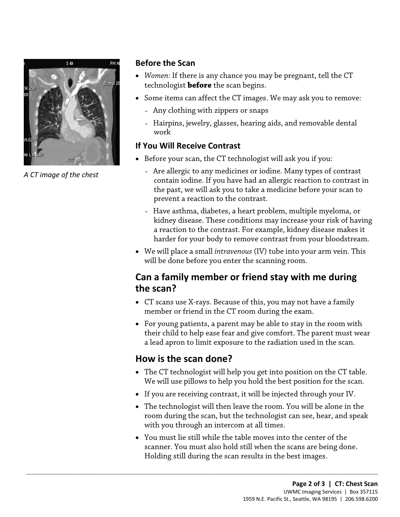

*A CT image of the chest*

#### **Before the Scan**

- *Women:* If there is any chance you may be pregnant, tell the CT technologist **before** the scan begins.
- Some items can affect the CT images. We may ask you to remove:
	- Any clothing with zippers or snaps
	- Hairpins, jewelry, glasses, hearing aids, and removable dental work

#### **If You Will Receive Contrast**

- Before your scan, the CT technologist will ask you if you:
	- Are allergic to any medicines or iodine. Many types of contrast contain iodine. If you have had an allergic reaction to contrast in the past, we will ask you to take a medicine before your scan to prevent a reaction to the contrast.
- the past, we will ask you to take a medicine before your scan t<br>prevent a reaction to the contrast.<br>- Have asthma, diabetes, a heart problem, multiple myeloma, or<br>kidney disease. These conditions may increase your risk of – Have asthma, diabetes, a heart problem, multiple myeloma, or kidney disease. These conditions may increase your risk of having a reaction to the contrast. For example, kidney disease makes it harder for your body to remove contrast from your bloodstream.
	- We will place a small *intravenous* (IV) tube into your arm vein. This will be done before you enter the scanning room.

## **Can a family member or friend stay with me during the scan?**

- CT scans use X-rays. Because of this, you may not have a family member or friend in the CT room during the exam.
- For young patients, a parent may be able to stay in the room with their child to help ease fear and give comfort. The parent must wear a lead apron to limit exposure to the radiation used in the scan.

## **How is the scan done?**

 $\_$  ,  $\_$  ,  $\_$  ,  $\_$  ,  $\_$  ,  $\_$  ,  $\_$  ,  $\_$  ,  $\_$  ,  $\_$  ,  $\_$  ,  $\_$  ,  $\_$  ,  $\_$  ,  $\_$  ,  $\_$  ,  $\_$  ,  $\_$  ,  $\_$  ,  $\_$  ,  $\_$  ,  $\_$  ,  $\_$  ,  $\_$  ,  $\_$  ,  $\_$  ,  $\_$  ,  $\_$  ,  $\_$  ,  $\_$  ,  $\_$  ,  $\_$  ,  $\_$  ,  $\_$  ,  $\_$  ,  $\_$  ,  $\_$  ,

- The CT technologist will help you get into position on the CT table. We will use pillows to help you hold the best position for the scan.
- If you are receiving contrast, it will be injected through your IV.
- The technologist will then leave the room. You will be alone in the room during the scan, but the technologist can see, hear, and speak with you through an intercom at all times.
- You must lie still while the table moves into the center of the scanner. You must also hold still when the scans are being done. Holding still during the scan results in the best images.